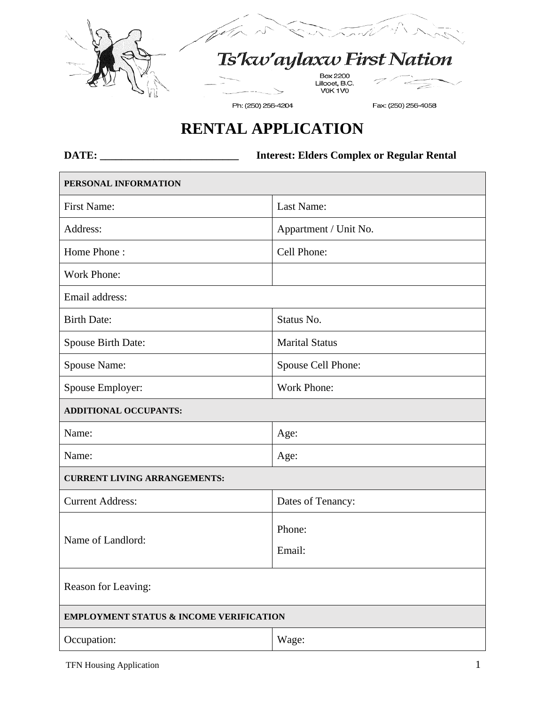



Ts'kw'aylaxw First Nation

Box 2200<br>Lillooet, B.C.<br>V0K 1V0

Ph: (250) 256-4204

Fax: (250) 256-4058

## **RENTAL APPLICATION**

**DATE: \_\_\_\_\_\_\_\_\_\_\_\_\_\_\_\_\_\_\_\_\_\_\_\_\_\_ Interest: Elders Complex or Regular Rental**

| PERSONAL INFORMATION                               |                       |  |
|----------------------------------------------------|-----------------------|--|
| First Name:                                        | Last Name:            |  |
| Address:                                           | Appartment / Unit No. |  |
| Home Phone:                                        | Cell Phone:           |  |
| <b>Work Phone:</b>                                 |                       |  |
| Email address:                                     |                       |  |
| <b>Birth Date:</b>                                 | Status No.            |  |
| Spouse Birth Date:                                 | <b>Marital Status</b> |  |
| Spouse Name:                                       | Spouse Cell Phone:    |  |
| Spouse Employer:                                   | <b>Work Phone:</b>    |  |
| <b>ADDITIONAL OCCUPANTS:</b>                       |                       |  |
| Name:                                              | Age:                  |  |
| Name:                                              | Age:                  |  |
| <b>CURRENT LIVING ARRANGEMENTS:</b>                |                       |  |
| <b>Current Address:</b>                            | Dates of Tenancy:     |  |
| Name of Landlord:                                  | Phone:                |  |
|                                                    | Email:                |  |
| Reason for Leaving:                                |                       |  |
| <b>EMPLOYMENT STATUS &amp; INCOME VERIFICATION</b> |                       |  |
| Occupation:                                        | Wage:                 |  |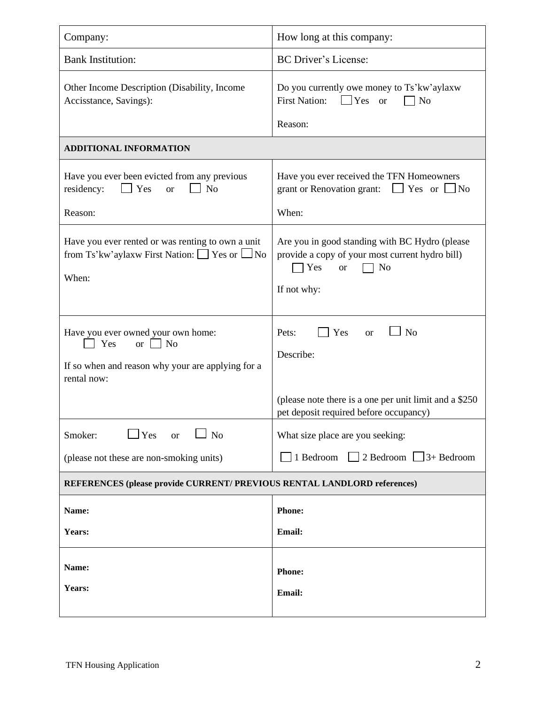| Company:                                                                                                                                  | How long at this company:                                                                                                                  |  |
|-------------------------------------------------------------------------------------------------------------------------------------------|--------------------------------------------------------------------------------------------------------------------------------------------|--|
| <b>Bank Institution:</b>                                                                                                                  | <b>BC</b> Driver's License:                                                                                                                |  |
| Other Income Description (Disability, Income<br>Accisstance, Savings):                                                                    | Do you currently owe money to Ts'kw'aylaxw<br><b>First Nation:</b><br>$\Box$ Yes<br>N <sub>o</sub><br><b>or</b><br>Reason:                 |  |
| <b>ADDITIONAL INFORMATION</b>                                                                                                             |                                                                                                                                            |  |
| Have you ever been evicted from any previous<br>residency:<br>$\Box$ Yes<br>N <sub>o</sub><br><b>or</b><br>Reason:                        | Have you ever received the TFN Homeowners<br>grant or Renovation grant:<br>$\Box$ Yes or $\Box$ No<br>When:                                |  |
| Have you ever rented or was renting to own a unit<br>from Ts'kw'aylaxw First Nation: □ Yes or □ No<br>When:                               | Are you in good standing with BC Hydro (please<br>provide a copy of your most current hydro bill)<br>No<br>Yes<br><b>or</b><br>If not why: |  |
| Have you ever owned your own home:<br>$\exists$ No<br>Yes<br>$\alpha$<br>If so when and reason why your are applying for a<br>rental now: | N <sub>o</sub><br>Yes<br>Pets:<br><b>or</b><br>Describe:                                                                                   |  |
|                                                                                                                                           | (please note there is a one per unit limit and a \$250<br>pet deposit required before occupancy)                                           |  |
| $\Box$ Yes<br>N <sub>o</sub><br>Smoker:<br><b>or</b>                                                                                      | What size place are you seeking:                                                                                                           |  |
| (please not these are non-smoking units)                                                                                                  | $\Box$ 2 Bedroom $\Box$ 3+ Bedroom<br>1 Bedroom                                                                                            |  |
| REFERENCES (please provide CURRENT/ PREVIOUS RENTAL LANDLORD references)                                                                  |                                                                                                                                            |  |
| Name:                                                                                                                                     | <b>Phone:</b>                                                                                                                              |  |
| Years:                                                                                                                                    | Email:                                                                                                                                     |  |
| Name:<br>Years:                                                                                                                           | Phone:<br>Email:                                                                                                                           |  |